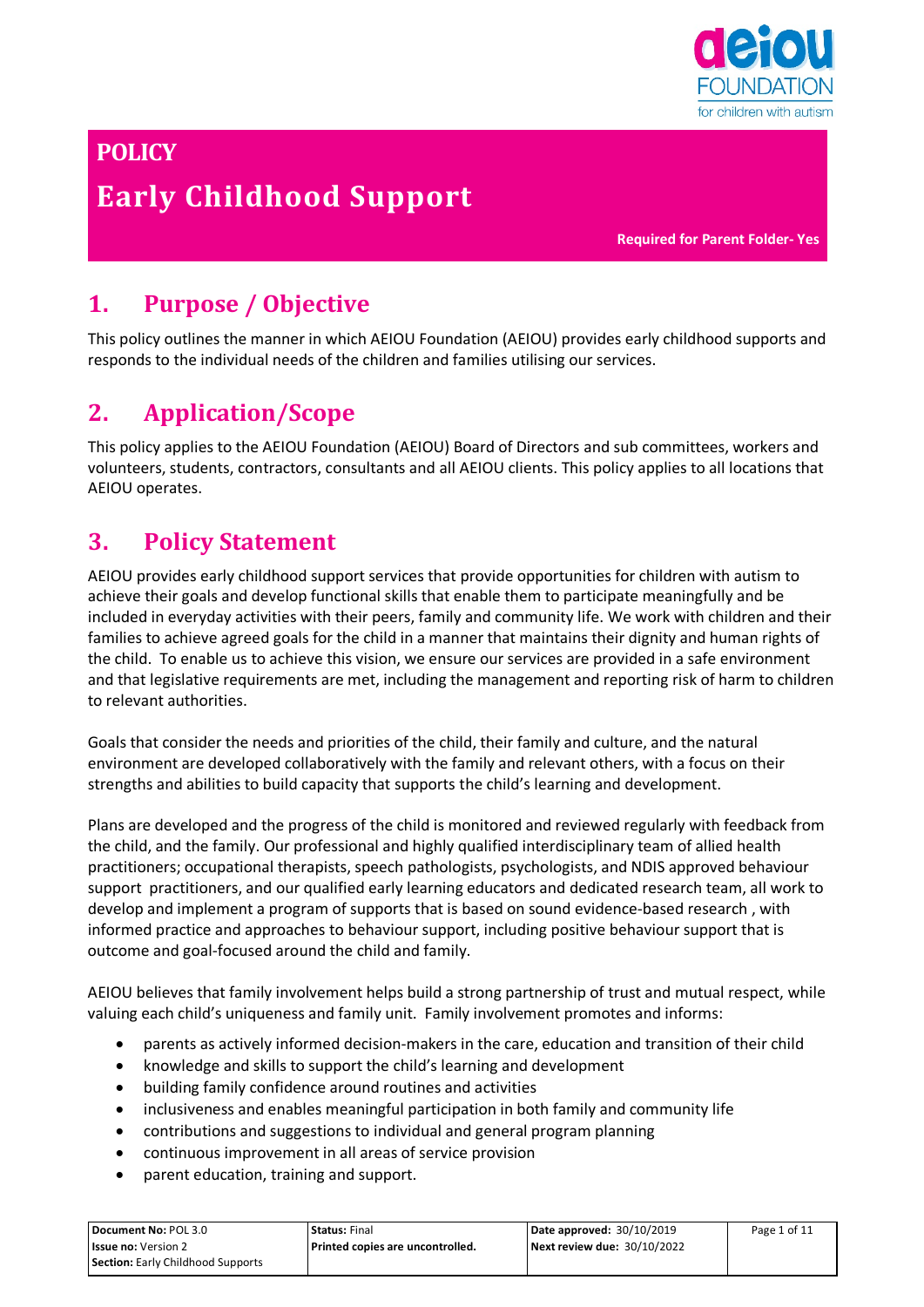

# **POLICY Early Childhood Support**

**Required for Parent Folder- Yes**

## **1. Purpose / Objective**

This policy outlines the manner in which AEIOU Foundation (AEIOU) provides early childhood supports and responds to the individual needs of the children and families utilising our services.

## **2. Application/Scope**

This policy applies to the AEIOU Foundation (AEIOU) Board of Directors and sub committees, workers and volunteers, students, contractors, consultants and all AEIOU clients. This policy applies to all locations that AEIOU operates.

#### **3. Policy Statement**

AEIOU provides early childhood support services that provide opportunities for children with autism to achieve their goals and develop functional skills that enable them to participate meaningfully and be included in everyday activities with their peers, family and community life. We work with children and their families to achieve agreed goals for the child in a manner that maintains their dignity and human rights of the child. To enable us to achieve this vision, we ensure our services are provided in a safe environment and that legislative requirements are met, including the management and reporting risk of harm to children to relevant authorities.

Goals that consider the needs and priorities of the child, their family and culture, and the natural environment are developed collaboratively with the family and relevant others, with a focus on their strengths and abilities to build capacity that supports the child's learning and development.

Plans are developed and the progress of the child is monitored and reviewed regularly with feedback from the child, and the family. Our professional and highly qualified interdisciplinary team of allied health practitioners; occupational therapists, speech pathologists, psychologists, and NDIS approved behaviour support practitioners, and our qualified early learning educators and dedicated research team, all work to develop and implement a program of supports that is based on sound evidence-based research , with informed practice and approaches to behaviour support, including positive behaviour support that is outcome and goal-focused around the child and family.

AEIOU believes that family involvement helps build a strong partnership of trust and mutual respect, while valuing each child's uniqueness and family unit. Family involvement promotes and informs:

- parents as actively informed decision-makers in the care, education and transition of their child
- knowledge and skills to support the child's learning and development
- building family confidence around routines and activities
- inclusiveness and enables meaningful participation in both family and community life
- contributions and suggestions to individual and general program planning
- continuous improvement in all areas of service provision
- parent education, training and support.

| Document No: POL 3.0                     | Status: Final                    | Date approved: 30/10/2019          | Page 1 of 11 |
|------------------------------------------|----------------------------------|------------------------------------|--------------|
| <b>Issue no:</b> Version 2               | Printed copies are uncontrolled. | <b>Next review due: 30/10/2022</b> |              |
| <b>Section:</b> Early Childhood Supports |                                  |                                    |              |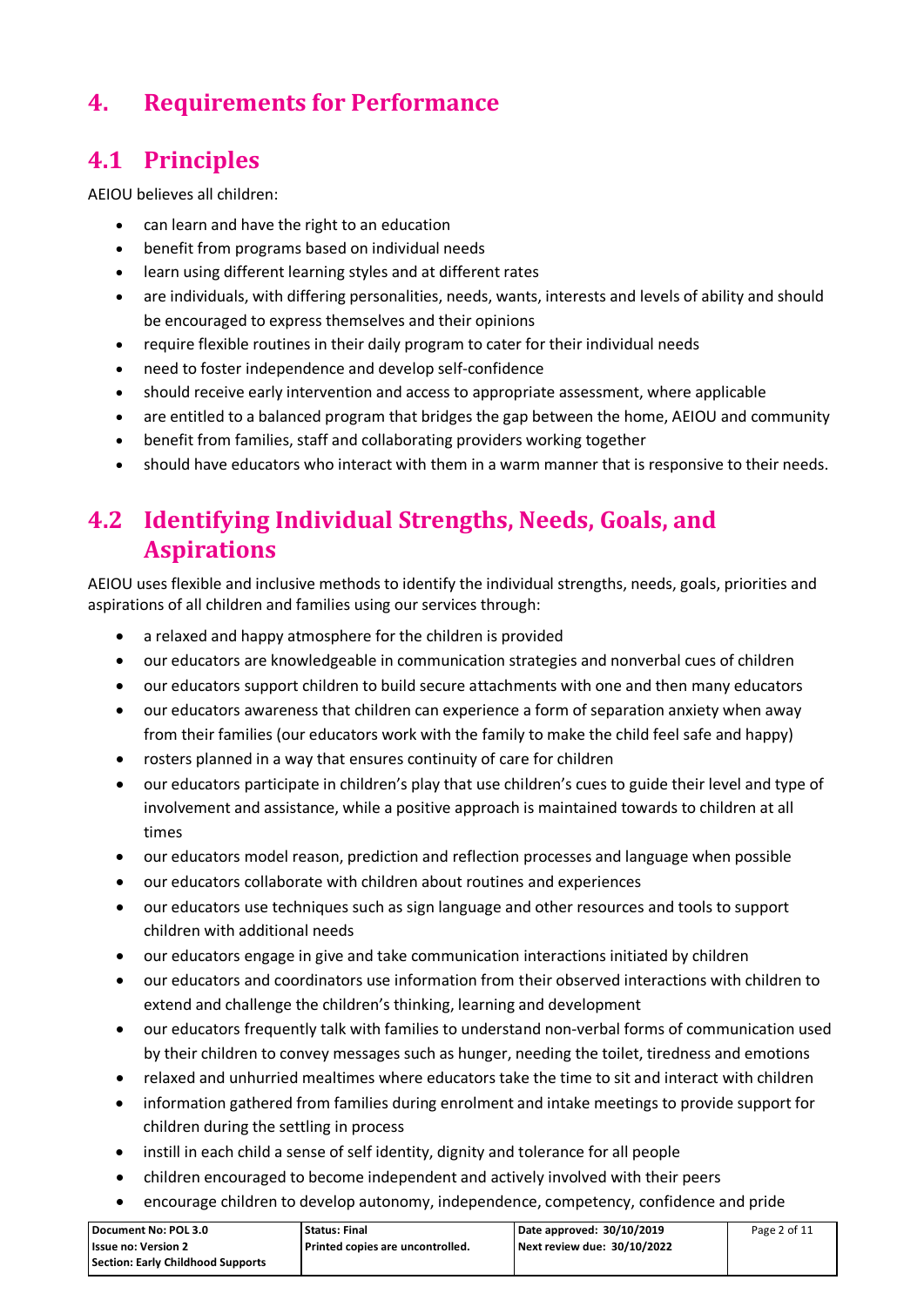## **4. Requirements for Performance**

#### **4.1 Principles**

AEIOU believes all children:

- can learn and have the right to an education
- benefit from programs based on individual needs
- learn using different learning styles and at different rates
- are individuals, with differing personalities, needs, wants, interests and levels of ability and should be encouraged to express themselves and their opinions
- require flexible routines in their daily program to cater for their individual needs
- need to foster independence and develop self-confidence
- should receive early intervention and access to appropriate assessment, where applicable
- are entitled to a balanced program that bridges the gap between the home, AEIOU and community
- benefit from families, staff and collaborating providers working together
- should have educators who interact with them in a warm manner that is responsive to their needs.

#### **4.2 Identifying Individual Strengths, Needs, Goals, and Aspirations**

AEIOU uses flexible and inclusive methods to identify the individual strengths, needs, goals, priorities and aspirations of all children and families using our services through:

- a relaxed and happy atmosphere for the children is provided
- our educators are knowledgeable in communication strategies and nonverbal cues of children
- our educators support children to build secure attachments with one and then many educators
- our educators awareness that children can experience a form of separation anxiety when away from their families (our educators work with the family to make the child feel safe and happy)
- rosters planned in a way that ensures continuity of care for children
- our educators participate in children's play that use children's cues to guide their level and type of involvement and assistance, while a positive approach is maintained towards to children at all times
- our educators model reason, prediction and reflection processes and language when possible
- our educators collaborate with children about routines and experiences
- our educators use techniques such as sign language and other resources and tools to support children with additional needs
- our educators engage in give and take communication interactions initiated by children
- our educators and coordinators use information from their observed interactions with children to extend and challenge the children's thinking, learning and development
- our educators frequently talk with families to understand non-verbal forms of communication used by their children to convey messages such as hunger, needing the toilet, tiredness and emotions
- relaxed and unhurried mealtimes where educators take the time to sit and interact with children
- information gathered from families during enrolment and intake meetings to provide support for children during the settling in process
- instill in each child a sense of self identity, dignity and tolerance for all people
- children encouraged to become independent and actively involved with their peers
- encourage children to develop autonomy, independence, competency, confidence and pride

| l Document No: POL 3.0            | <b>Status: Final</b>             | Date approved: 30/10/2019   | Page 2 of 11 |
|-----------------------------------|----------------------------------|-----------------------------|--------------|
| l Issue no: Version 2             | Printed copies are uncontrolled. | Next review due: 30/10/2022 |              |
| Section: Early Childhood Supports |                                  |                             |              |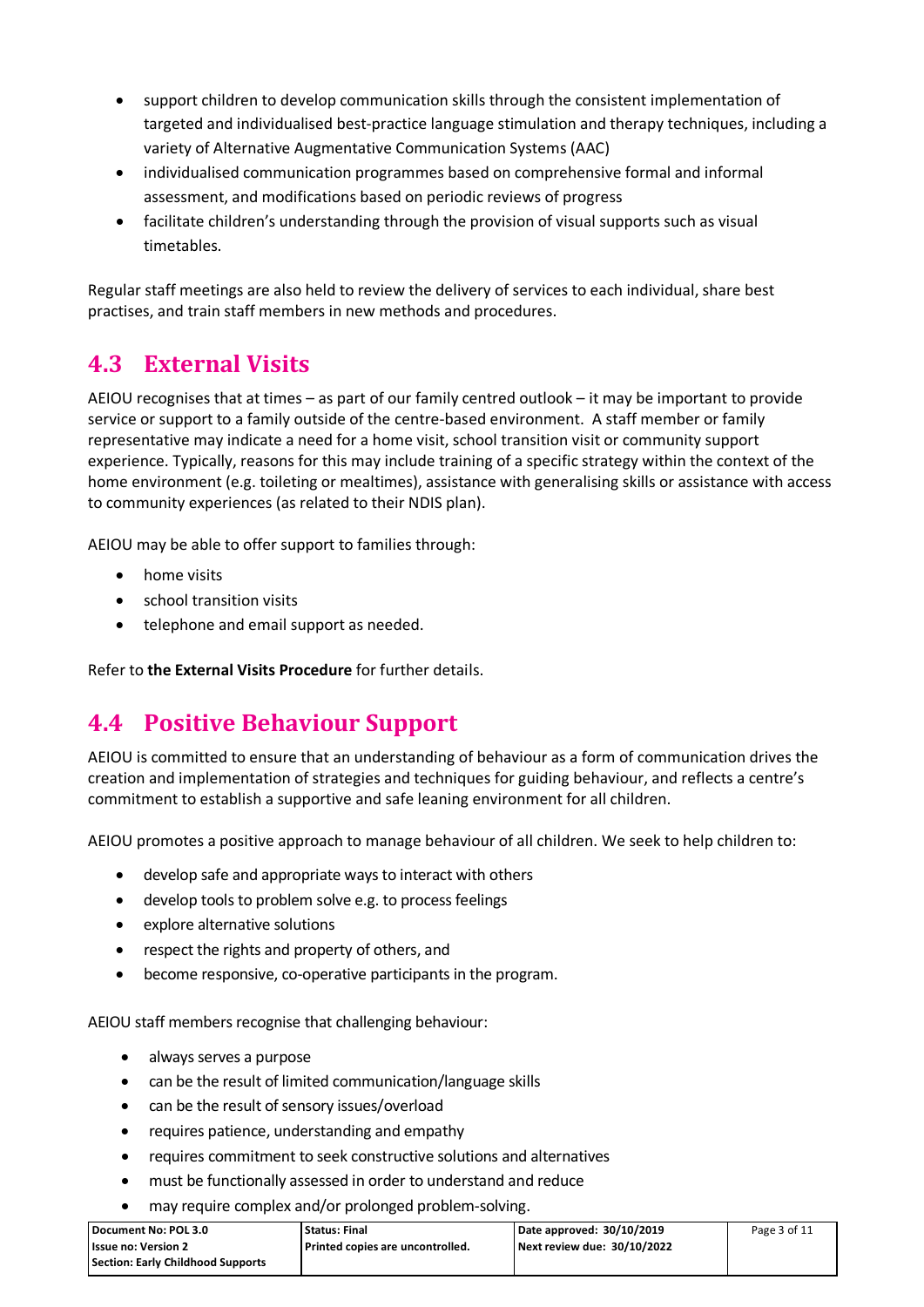- support children to develop communication skills through the consistent implementation of targeted and individualised best-practice language stimulation and therapy techniques, including a variety of Alternative Augmentative Communication Systems (AAC)
- individualised communication programmes based on comprehensive formal and informal assessment, and modifications based on periodic reviews of progress
- facilitate children's understanding through the provision of visual supports such as visual timetables.

Regular staff meetings are also held to review the delivery of services to each individual, share best practises, and train staff members in new methods and procedures.

#### **4.3 External Visits**

AEIOU recognises that at times – as part of our family centred outlook – it may be important to provide service or support to a family outside of the centre-based environment. A staff member or family representative may indicate a need for a home visit, school transition visit or community support experience. Typically, reasons for this may include training of a specific strategy within the context of the home environment (e.g. toileting or mealtimes), assistance with generalising skills or assistance with access to community experiences (as related to their NDIS plan).

AEIOU may be able to offer support to families through:

- home visits
- school transition visits
- telephone and email support as needed.

Refer to **the External Visits Procedure** for further details.

#### **4.4 Positive Behaviour Support**

AEIOU is committed to ensure that an understanding of behaviour as a form of communication drives the creation and implementation of strategies and techniques for guiding behaviour, and reflects a centre's commitment to establish a supportive and safe leaning environment for all children.

AEIOU promotes a positive approach to manage behaviour of all children. We seek to help children to:

- develop safe and appropriate ways to interact with others
- develop tools to problem solve e.g. to process feelings
- explore alternative solutions
- respect the rights and property of others, and
- become responsive, co-operative participants in the program.

AEIOU staff members recognise that challenging behaviour:

- always serves a purpose
- can be the result of limited communication/language skills
- can be the result of sensory issues/overload
- requires patience, understanding and empathy
- requires commitment to seek constructive solutions and alternatives
- must be functionally assessed in order to understand and reduce
- may require complex and/or prolonged problem-solving.

| Document No: POL 3.0              | <b>Status: Final</b>               | Date approved: 30/10/2019   | Page 3 of 11 |
|-----------------------------------|------------------------------------|-----------------------------|--------------|
| <b>Issue no: Version 2</b>        | l Printed copies are uncontrolled. | Next review due: 30/10/2022 |              |
| Section: Early Childhood Supports |                                    |                             |              |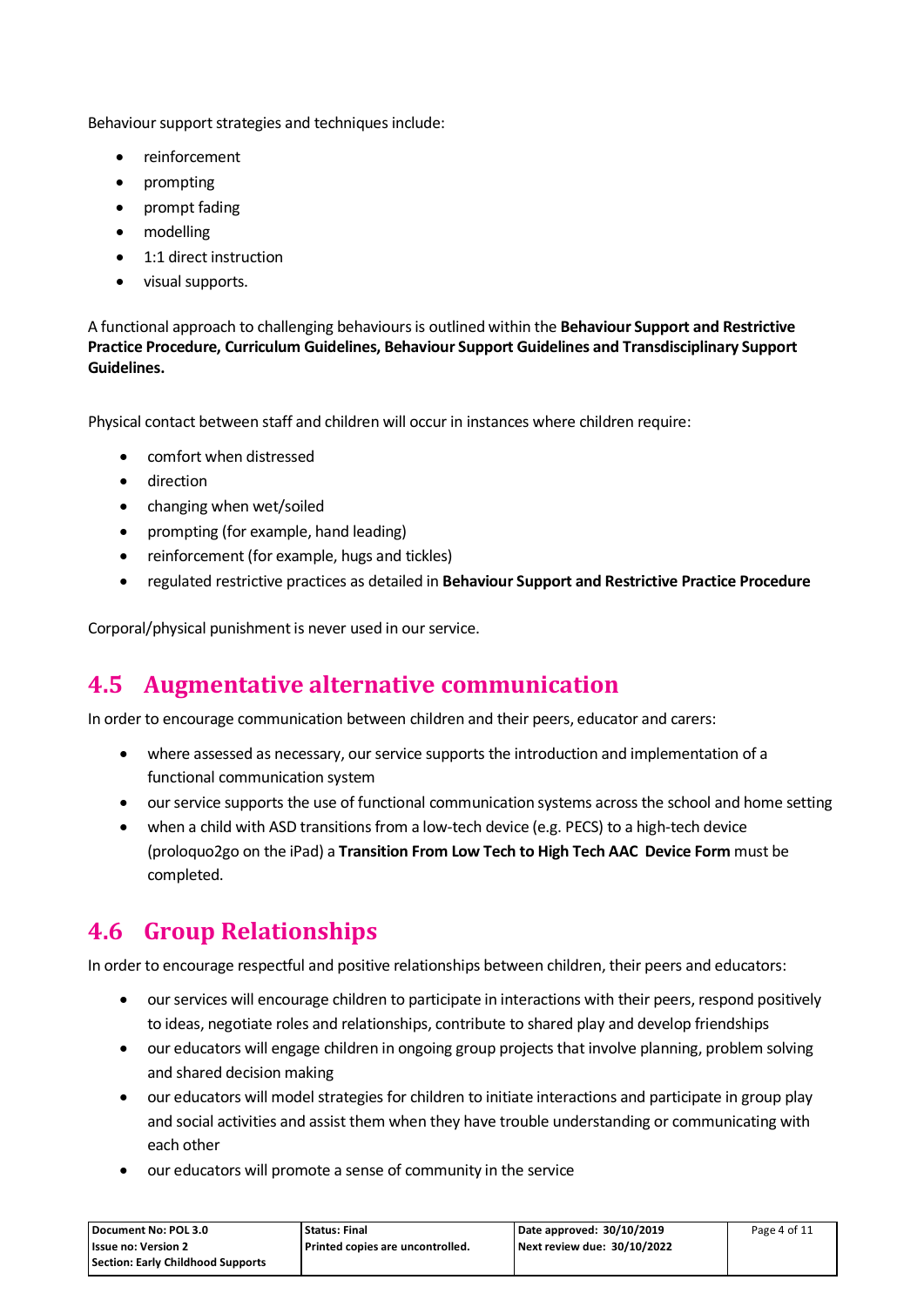Behaviour support strategies and techniques include:

- reinforcement
- prompting
- prompt fading
- modelling
- 1:1 direct instruction
- visual supports.

A functional approach to challenging behaviours is outlined within the **Behaviour Support and Restrictive Practice Procedure, Curriculum Guidelines, Behaviour Support Guidelines and Transdisciplinary Support Guidelines.** 

Physical contact between staff and children will occur in instances where children require:

- comfort when distressed
- direction
- changing when wet/soiled
- prompting (for example, hand leading)
- reinforcement (for example, hugs and tickles)
- regulated restrictive practices as detailed in **Behaviour Support and Restrictive Practice Procedure**

Corporal/physical punishment is never used in our service.

#### **4.5 Augmentative alternative communication**

In order to encourage communication between children and their peers, educator and carers:

- where assessed as necessary, our service supports the introduction and implementation of a functional communication system
- our service supports the use of functional communication systems across the school and home setting
- when a child with ASD transitions from a low-tech device (e.g. PECS) to a high-tech device (proloquo2go on the iPad) a **Transition From Low Tech to High Tech AAC Device Form** must be completed.

#### **4.6 Group Relationships**

In order to encourage respectful and positive relationships between children, their peers and educators:

- our services will encourage children to participate in interactions with their peers, respond positively to ideas, negotiate roles and relationships, contribute to shared play and develop friendships
- our educators will engage children in ongoing group projects that involve planning, problem solving and shared decision making
- our educators will model strategies for children to initiate interactions and participate in group play and social activities and assist them when they have trouble understanding or communicating with each other
- our educators will promote a sense of community in the service

| Document No: POL 3.0              | <b>Status: Final</b>               | Date approved: 30/10/2019   | Page 4 of 11 |
|-----------------------------------|------------------------------------|-----------------------------|--------------|
| <b>Issue no: Version 2</b>        | l Printed copies are uncontrolled. | Next review due: 30/10/2022 |              |
| Section: Early Childhood Supports |                                    |                             |              |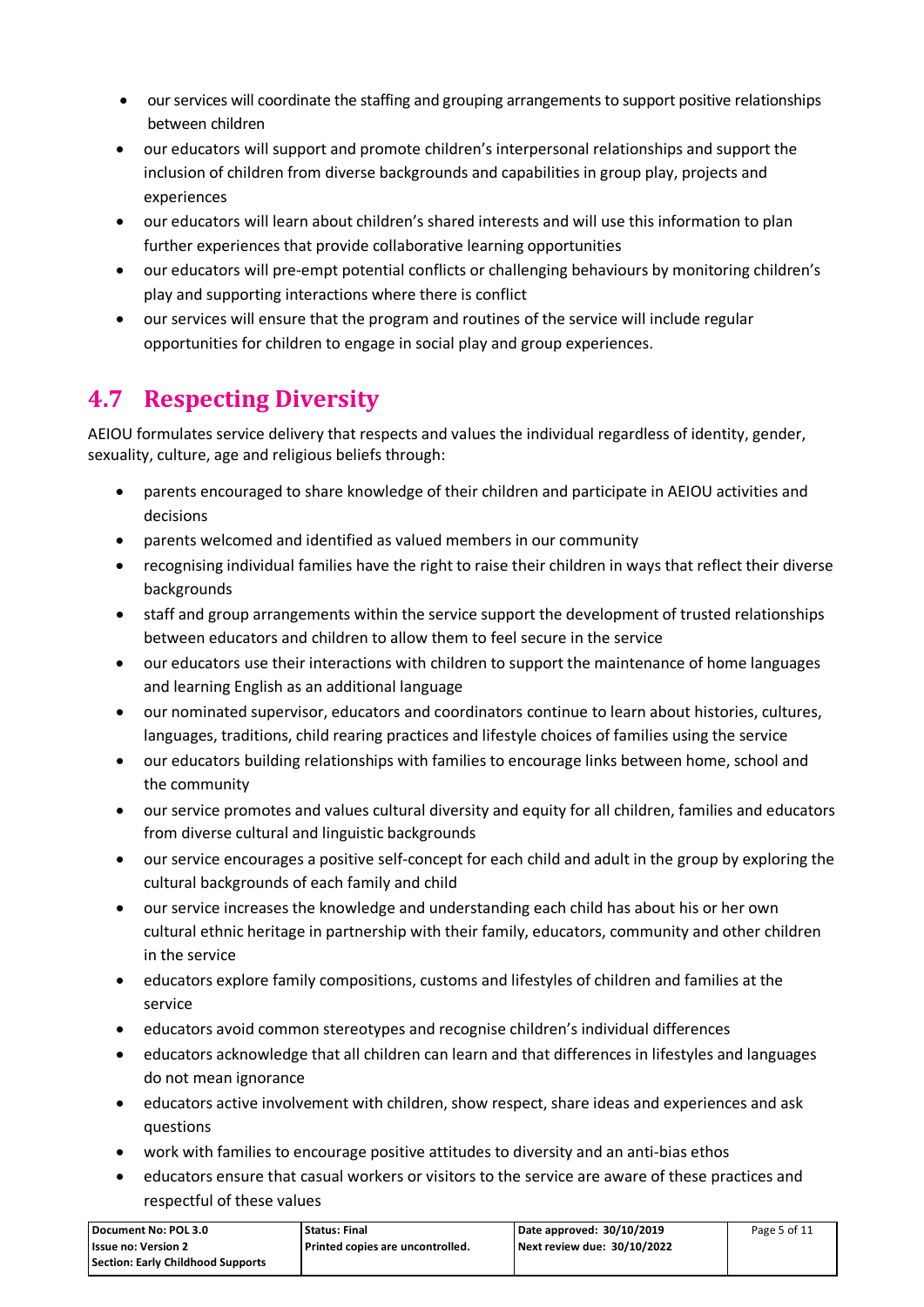- our services will coordinate the staffing and grouping arrangements to support positive relationships between children
- our educators will support and promote children's interpersonal relationships and support the inclusion of children from diverse backgrounds and capabilities in group play, projects and experiences
- our educators will learn about children's shared interests and will use this information to plan further experiences that provide collaborative learning opportunities
- our educators will pre-empt potential conflicts or challenging behaviours by monitoring children's play and supporting interactions where there is conflict
- our services will ensure that the program and routines of the service will include regular opportunities for children to engage in social play and group experiences.

## **4.7 Respecting Diversity**

AEIOU formulates service delivery that respects and values the individual regardless of identity, gender, sexuality, culture, age and religious beliefs through:

- parents encouraged to share knowledge of their children and participate in AEIOU activities and decisions
- parents welcomed and identified as valued members in our community
- recognising individual families have the right to raise their children in ways that reflect their diverse backgrounds
- staff and group arrangements within the service support the development of trusted relationships between educators and children to allow them to feel secure in the service
- our educators use their interactions with children to support the maintenance of home languages and learning English as an additional language
- our nominated supervisor, educators and coordinators continue to learn about histories, cultures, languages, traditions, child rearing practices and lifestyle choices of families using the service
- our educators building relationships with families to encourage links between home, school and the community
- our service promotes and values cultural diversity and equity for all children, families and educators from diverse cultural and linguistic backgrounds
- our service encourages a positive self-concept for each child and adult in the group by exploring the cultural backgrounds of each family and child
- our service increases the knowledge and understanding each child has about his or her own cultural ethnic heritage in partnership with their family, educators, community and other children in the service
- educators explore family compositions, customs and lifestyles of children and families at the service
- educators avoid common stereotypes and recognise children's individual differences
- educators acknowledge that all children can learn and that differences in lifestyles and languages do not mean ignorance
- educators active involvement with children, show respect, share ideas and experiences and ask questions
- work with families to encourage positive attitudes to diversity and an anti-bias ethos
- educators ensure that casual workers or visitors to the service are aware of these practices and respectful of these values

| l Document No: POL 3.0            | <b>Status: Final</b>             | Date approved: 30/10/2019   | Page 5 of 11 |
|-----------------------------------|----------------------------------|-----------------------------|--------------|
| l Issue no: Version 2             | Printed copies are uncontrolled. | Next review due: 30/10/2022 |              |
| Section: Early Childhood Supports |                                  |                             |              |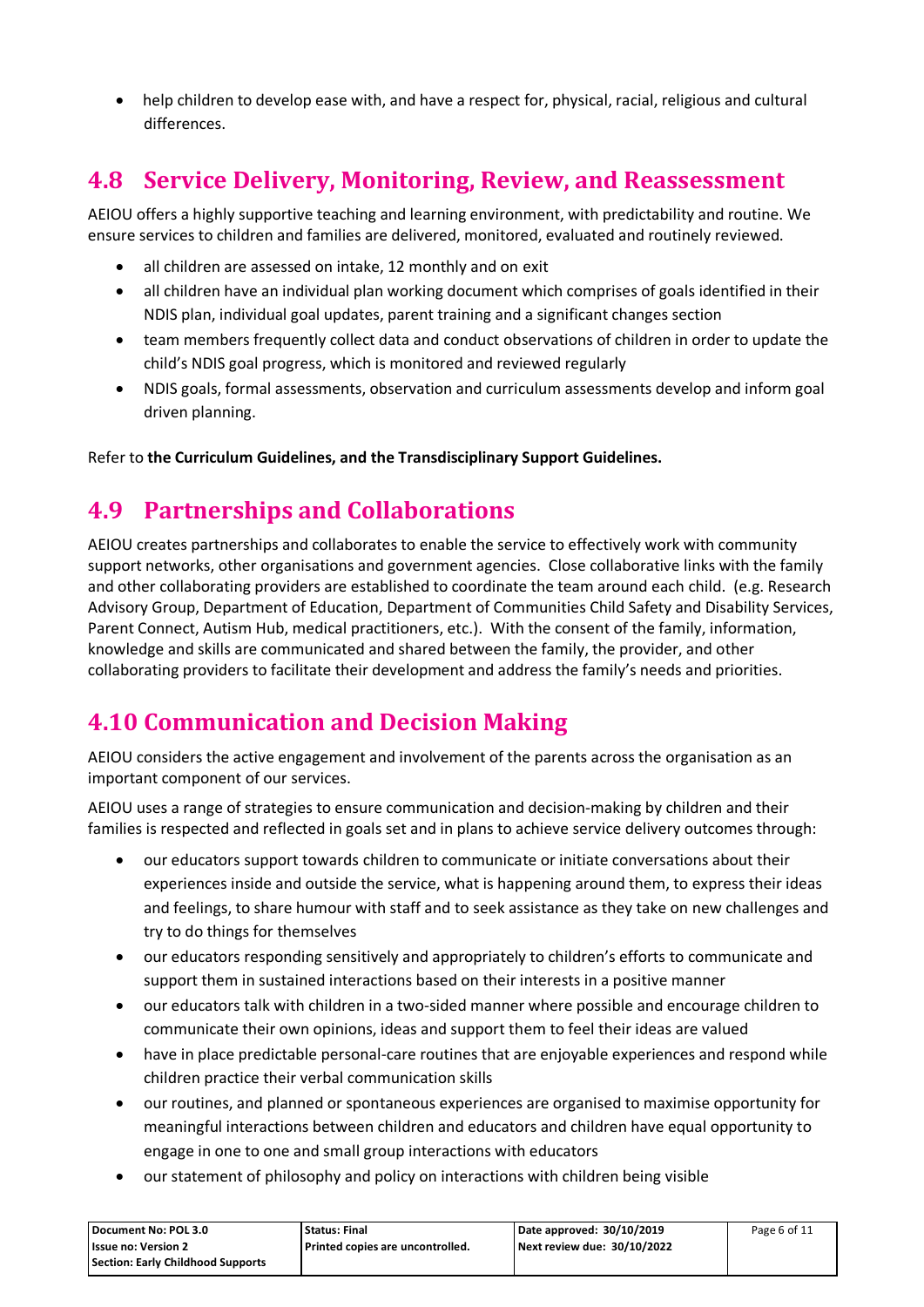• help children to develop ease with, and have a respect for, physical, racial, religious and cultural differences.

#### **4.8 Service Delivery, Monitoring, Review, and Reassessment**

AEIOU offers a highly supportive teaching and learning environment, with predictability and routine. We ensure services to children and families are delivered, monitored, evaluated and routinely reviewed.

- all children are assessed on intake, 12 monthly and on exit
- all children have an individual plan working document which comprises of goals identified in their NDIS plan, individual goal updates, parent training and a significant changes section
- team members frequently collect data and conduct observations of children in order to update the child's NDIS goal progress, which is monitored and reviewed regularly
- NDIS goals, formal assessments, observation and curriculum assessments develop and inform goal driven planning.

Refer to **the Curriculum Guidelines, and the Transdisciplinary Support Guidelines.**

#### **4.9 Partnerships and Collaborations**

AEIOU creates partnerships and collaborates to enable the service to effectively work with community support networks, other organisations and government agencies. Close collaborative links with the family and other collaborating providers are established to coordinate the team around each child. (e.g. Research Advisory Group, Department of Education, Department of Communities Child Safety and Disability Services, Parent Connect, Autism Hub, medical practitioners, etc.). With the consent of the family, information, knowledge and skills are communicated and shared between the family, the provider, and other collaborating providers to facilitate their development and address the family's needs and priorities.

## **4.10 Communication and Decision Making**

AEIOU considers the active engagement and involvement of the parents across the organisation as an important component of our services.

AEIOU uses a range of strategies to ensure communication and decision-making by children and their families is respected and reflected in goals set and in plans to achieve service delivery outcomes through:

- our educators support towards children to communicate or initiate conversations about their experiences inside and outside the service, what is happening around them, to express their ideas and feelings, to share humour with staff and to seek assistance as they take on new challenges and try to do things for themselves
- our educators responding sensitively and appropriately to children's efforts to communicate and support them in sustained interactions based on their interests in a positive manner
- our educators talk with children in a two-sided manner where possible and encourage children to communicate their own opinions, ideas and support them to feel their ideas are valued
- have in place predictable personal-care routines that are enjoyable experiences and respond while children practice their verbal communication skills
- our routines, and planned or spontaneous experiences are organised to maximise opportunity for meaningful interactions between children and educators and children have equal opportunity to engage in one to one and small group interactions with educators
- our statement of philosophy and policy on interactions with children being visible

| Document No: POL 3.0                     | Status: Final                    | Date approved: 30/10/2019   | Page 6 of 11 |
|------------------------------------------|----------------------------------|-----------------------------|--------------|
| <b>Issue no: Version 2</b>               | Printed copies are uncontrolled. | Next review due: 30/10/2022 |              |
| <b>Section: Early Childhood Supports</b> |                                  |                             |              |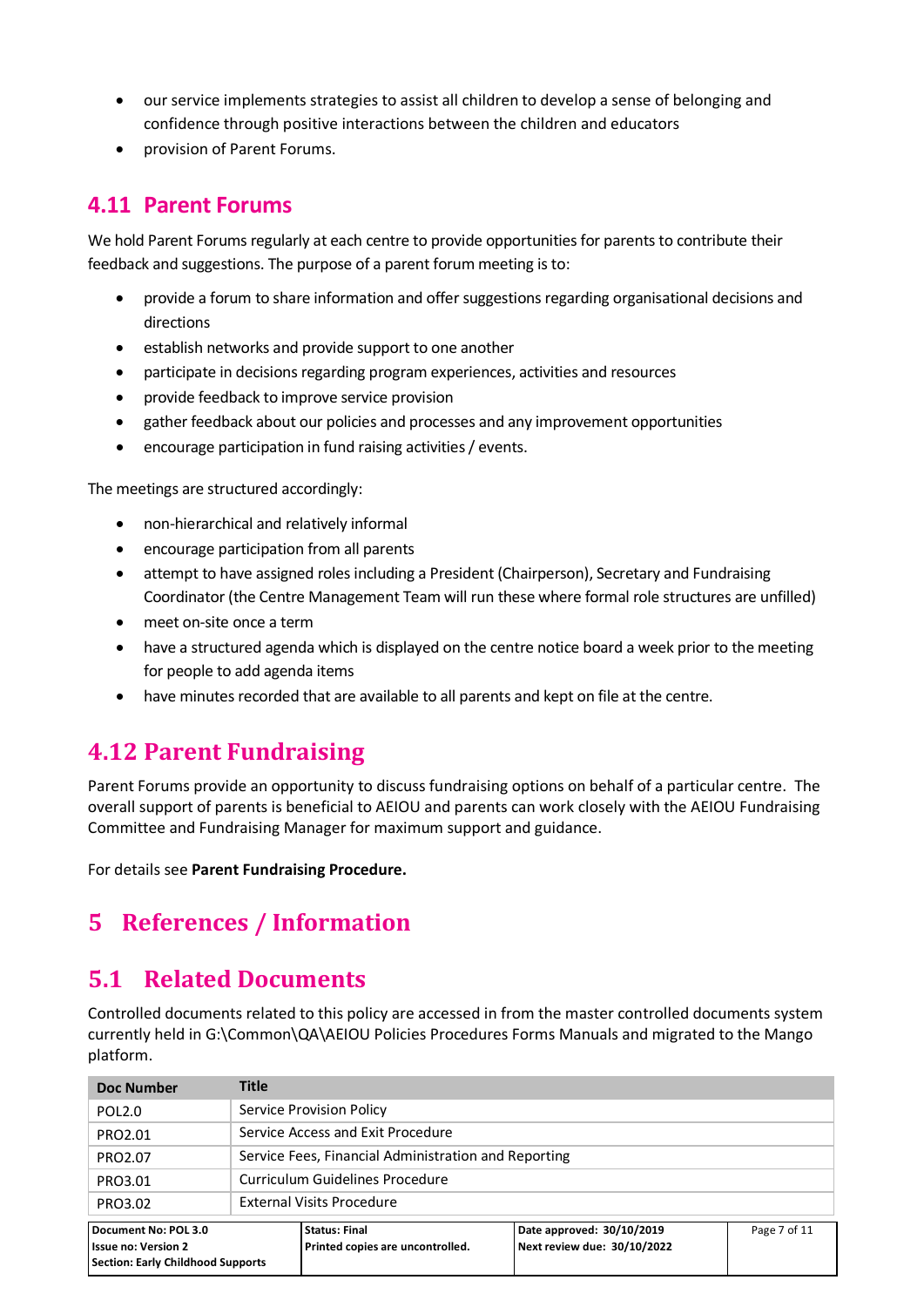- our service implements strategies to assist all children to develop a sense of belonging and confidence through positive interactions between the children and educators
- provision of Parent Forums.

#### **4.11 Parent Forums**

We hold Parent Forums regularly at each centre to provide opportunities for parents to contribute their feedback and suggestions. The purpose of a parent forum meeting is to:

- provide a forum to share information and offer suggestions regarding organisational decisions and directions
- establish networks and provide support to one another
- participate in decisions regarding program experiences, activities and resources
- provide feedback to improve service provision
- gather feedback about our policies and processes and any improvement opportunities
- encourage participation in fund raising activities / events.

The meetings are structured accordingly:

- non-hierarchical and relatively informal
- encourage participation from all parents
- attempt to have assigned roles including a President (Chairperson), Secretary and Fundraising Coordinator (the Centre Management Team will run these where formal role structures are unfilled)
- meet on-site once a term
- have a structured agenda which is displayed on the centre notice board a week prior to the meeting for people to add agenda items
- have minutes recorded that are available to all parents and kept on file at the centre.

#### **4.12 Parent Fundraising**

Parent Forums provide an opportunity to discuss fundraising options on behalf of a particular centre. The overall support of parents is beneficial to AEIOU and parents can work closely with the AEIOU Fundraising Committee and Fundraising Manager for maximum support and guidance.

For details see **Parent Fundraising Procedure.**

#### **5 References / Information**

#### **5.1 Related Documents**

Controlled documents related to this policy are accessed in from the master controlled documents system currently held in G:\Common\QA\AEIOU Policies Procedures Forms Manuals and migrated to the Mango platform.

| Doc Number                                                                                                                                                                                                                             | <b>Title</b>              |                                                      |  |  |
|----------------------------------------------------------------------------------------------------------------------------------------------------------------------------------------------------------------------------------------|---------------------------|------------------------------------------------------|--|--|
| POL <sub>2.0</sub>                                                                                                                                                                                                                     |                           | Service Provision Policy                             |  |  |
| PRO2.01                                                                                                                                                                                                                                |                           | Service Access and Exit Procedure                    |  |  |
| PRO2.07                                                                                                                                                                                                                                |                           | Service Fees, Financial Administration and Reporting |  |  |
| PRO3.01                                                                                                                                                                                                                                |                           | Curriculum Guidelines Procedure                      |  |  |
| PRO3.02                                                                                                                                                                                                                                | External Visits Procedure |                                                      |  |  |
| Document No: POL 3.0<br>Date approved: 30/10/2019<br>Page 7 of 11<br><b>Status: Final</b><br>Next review due: 30/10/2022<br>Printed copies are uncontrolled.<br><b>Issue no: Version 2</b><br><b>Section: Early Childhood Supports</b> |                           |                                                      |  |  |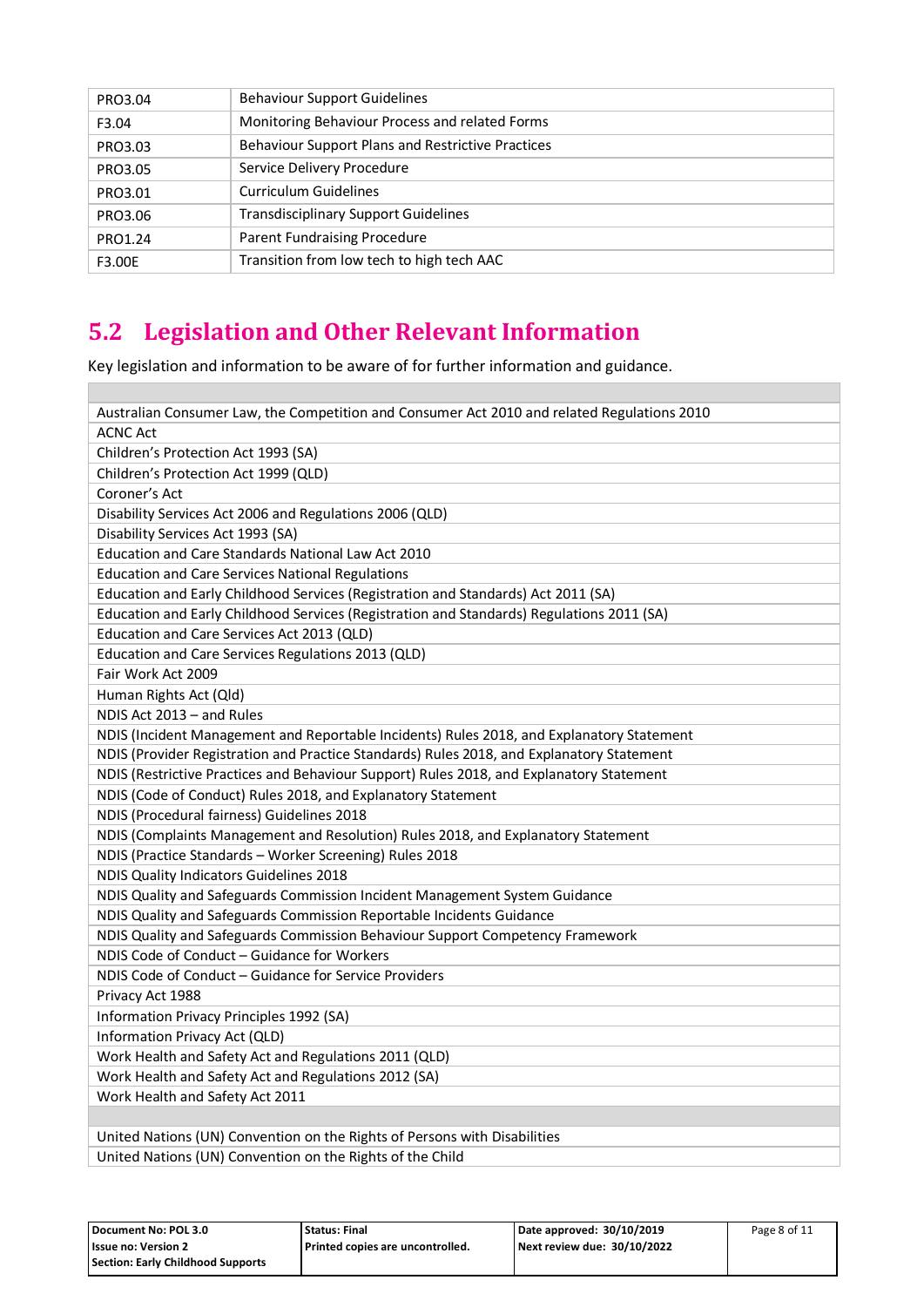| PRO3.04 | <b>Behaviour Support Guidelines</b>                      |
|---------|----------------------------------------------------------|
| F3.04   | Monitoring Behaviour Process and related Forms           |
| PRO3.03 | <b>Behaviour Support Plans and Restrictive Practices</b> |
| PRO3.05 | Service Delivery Procedure                               |
| PRO3.01 | <b>Curriculum Guidelines</b>                             |
| PRO3.06 | <b>Transdisciplinary Support Guidelines</b>              |
| PRO1.24 | Parent Fundraising Procedure                             |
| F3.00E  | Transition from low tech to high tech AAC                |

## **5.2 Legislation and Other Relevant Information**

 $\overline{\phantom{a}}$ 

Key legislation and information to be aware of for further information and guidance.

| Australian Consumer Law, the Competition and Consumer Act 2010 and related Regulations 2010 |
|---------------------------------------------------------------------------------------------|
| <b>ACNC Act</b>                                                                             |
| Children's Protection Act 1993 (SA)                                                         |
| Children's Protection Act 1999 (QLD)                                                        |
| Coroner's Act                                                                               |
| Disability Services Act 2006 and Regulations 2006 (QLD)                                     |
| Disability Services Act 1993 (SA)                                                           |
| Education and Care Standards National Law Act 2010                                          |
| <b>Education and Care Services National Regulations</b>                                     |
| Education and Early Childhood Services (Registration and Standards) Act 2011 (SA)           |
| Education and Early Childhood Services (Registration and Standards) Regulations 2011 (SA)   |
| Education and Care Services Act 2013 (QLD)                                                  |
| Education and Care Services Regulations 2013 (QLD)                                          |
| Fair Work Act 2009                                                                          |
| Human Rights Act (Qld)                                                                      |
| NDIS Act 2013 - and Rules                                                                   |
| NDIS (Incident Management and Reportable Incidents) Rules 2018, and Explanatory Statement   |
| NDIS (Provider Registration and Practice Standards) Rules 2018, and Explanatory Statement   |
| NDIS (Restrictive Practices and Behaviour Support) Rules 2018, and Explanatory Statement    |
| NDIS (Code of Conduct) Rules 2018, and Explanatory Statement                                |
| NDIS (Procedural fairness) Guidelines 2018                                                  |
| NDIS (Complaints Management and Resolution) Rules 2018, and Explanatory Statement           |
| NDIS (Practice Standards - Worker Screening) Rules 2018                                     |
| NDIS Quality Indicators Guidelines 2018                                                     |
| NDIS Quality and Safeguards Commission Incident Management System Guidance                  |
| NDIS Quality and Safeguards Commission Reportable Incidents Guidance                        |
| NDIS Quality and Safeguards Commission Behaviour Support Competency Framework               |
| NDIS Code of Conduct - Guidance for Workers                                                 |
| NDIS Code of Conduct - Guidance for Service Providers                                       |
| Privacy Act 1988                                                                            |
| Information Privacy Principles 1992 (SA)                                                    |
| Information Privacy Act (QLD)                                                               |
| Work Health and Safety Act and Regulations 2011 (QLD)                                       |
| Work Health and Safety Act and Regulations 2012 (SA)                                        |
| Work Health and Safety Act 2011                                                             |
|                                                                                             |
| United Nations (UN) Convention on the Rights of Persons with Disabilities                   |
| United Nations (UN) Convention on the Rights of the Child                                   |

| Document No: POL 3.0              | <b>Status: Final</b>               | Date approved: 30/10/2019   | Page 8 of 11 |
|-----------------------------------|------------------------------------|-----------------------------|--------------|
| <b>Issue no: Version 2</b>        | l Printed copies are uncontrolled. | Next review due: 30/10/2022 |              |
| Section: Early Childhood Supports |                                    |                             |              |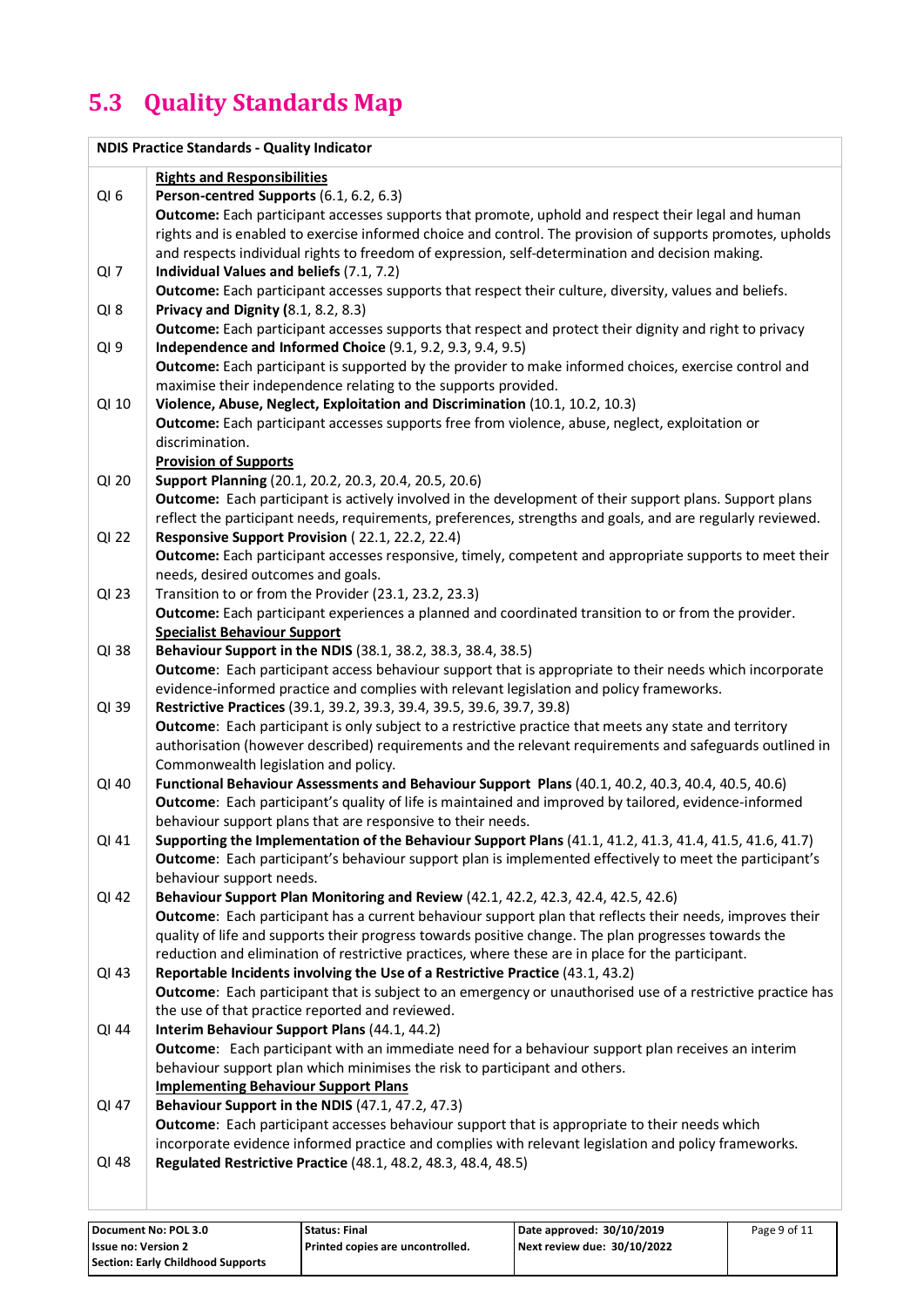## **5.3 Quality Standards Map**

|                 | <b>NDIS Practice Standards - Quality Indicator</b>                                                                                                                               |
|-----------------|----------------------------------------------------------------------------------------------------------------------------------------------------------------------------------|
|                 | <b>Rights and Responsibilities</b>                                                                                                                                               |
| QI <sub>6</sub> | Person-centred Supports (6.1, 6.2, 6.3)                                                                                                                                          |
|                 | Outcome: Each participant accesses supports that promote, uphold and respect their legal and human                                                                               |
|                 | rights and is enabled to exercise informed choice and control. The provision of supports promotes, upholds                                                                       |
|                 | and respects individual rights to freedom of expression, self-determination and decision making.                                                                                 |
| $Ql$ 7          | Individual Values and beliefs (7.1, 7.2)                                                                                                                                         |
|                 | Outcome: Each participant accesses supports that respect their culture, diversity, values and beliefs.                                                                           |
|                 |                                                                                                                                                                                  |
| $QI_8$          | Privacy and Dignity (8.1, 8.2, 8.3)                                                                                                                                              |
|                 | Outcome: Each participant accesses supports that respect and protect their dignity and right to privacy                                                                          |
| QI <sub>9</sub> | Independence and Informed Choice (9.1, 9.2, 9.3, 9.4, 9.5)                                                                                                                       |
|                 | Outcome: Each participant is supported by the provider to make informed choices, exercise control and                                                                            |
|                 | maximise their independence relating to the supports provided.                                                                                                                   |
| QI 10           | Violence, Abuse, Neglect, Exploitation and Discrimination (10.1, 10.2, 10.3)                                                                                                     |
|                 | Outcome: Each participant accesses supports free from violence, abuse, neglect, exploitation or                                                                                  |
|                 | discrimination.                                                                                                                                                                  |
|                 | <b>Provision of Supports</b>                                                                                                                                                     |
| QI 20           | Support Planning (20.1, 20.2, 20.3, 20.4, 20.5, 20.6)                                                                                                                            |
|                 | Outcome: Each participant is actively involved in the development of their support plans. Support plans                                                                          |
|                 | reflect the participant needs, requirements, preferences, strengths and goals, and are regularly reviewed.                                                                       |
| QI 22           | Responsive Support Provision (22.1, 22.2, 22.4)                                                                                                                                  |
|                 | Outcome: Each participant accesses responsive, timely, competent and appropriate supports to meet their                                                                          |
|                 | needs, desired outcomes and goals.                                                                                                                                               |
| QI 23           | Transition to or from the Provider (23.1, 23.2, 23.3)                                                                                                                            |
|                 | Outcome: Each participant experiences a planned and coordinated transition to or from the provider.                                                                              |
|                 | <b>Specialist Behaviour Support</b>                                                                                                                                              |
| QI 38           | Behaviour Support in the NDIS (38.1, 38.2, 38.3, 38.4, 38.5)                                                                                                                     |
|                 | Outcome: Each participant access behaviour support that is appropriate to their needs which incorporate                                                                          |
|                 | evidence-informed practice and complies with relevant legislation and policy frameworks.                                                                                         |
| QI 39           | Restrictive Practices (39.1, 39.2, 39.3, 39.4, 39.5, 39.6, 39.7, 39.8)<br>Outcome: Each participant is only subject to a restrictive practice that meets any state and territory |
|                 | authorisation (however described) requirements and the relevant requirements and safeguards outlined in                                                                          |
|                 | Commonwealth legislation and policy.                                                                                                                                             |
| QI 40           | Functional Behaviour Assessments and Behaviour Support Plans (40.1, 40.2, 40.3, 40.4, 40.5, 40.6)                                                                                |
|                 | Outcome: Each participant's quality of life is maintained and improved by tailored, evidence-informed                                                                            |
|                 | behaviour support plans that are responsive to their needs.                                                                                                                      |
| QI 41           | Supporting the Implementation of the Behaviour Support Plans (41.1, 41.2, 41.3, 41.4, 41.5, 41.6, 41.7)                                                                          |
|                 | Outcome: Each participant's behaviour support plan is implemented effectively to meet the participant's                                                                          |
|                 | behaviour support needs.                                                                                                                                                         |
| QI 42           | Behaviour Support Plan Monitoring and Review (42.1, 42.2, 42.3, 42.4, 42.5, 42.6)                                                                                                |
|                 | Outcome: Each participant has a current behaviour support plan that reflects their needs, improves their                                                                         |
|                 | quality of life and supports their progress towards positive change. The plan progresses towards the                                                                             |
|                 | reduction and elimination of restrictive practices, where these are in place for the participant.                                                                                |
| QI 43           | Reportable Incidents involving the Use of a Restrictive Practice (43.1, 43.2)                                                                                                    |
|                 | Outcome: Each participant that is subject to an emergency or unauthorised use of a restrictive practice has                                                                      |
|                 | the use of that practice reported and reviewed.                                                                                                                                  |
| QI 44           | Interim Behaviour Support Plans (44.1, 44.2)                                                                                                                                     |
|                 | Outcome: Each participant with an immediate need for a behaviour support plan receives an interim                                                                                |
|                 | behaviour support plan which minimises the risk to participant and others.                                                                                                       |
|                 | <b>Implementing Behaviour Support Plans</b>                                                                                                                                      |
| QI 47           | Behaviour Support in the NDIS (47.1, 47.2, 47.3)                                                                                                                                 |
|                 | Outcome: Each participant accesses behaviour support that is appropriate to their needs which                                                                                    |
|                 | incorporate evidence informed practice and complies with relevant legislation and policy frameworks.                                                                             |
| QI 48           | Regulated Restrictive Practice (48.1, 48.2, 48.3, 48.4, 48.5)                                                                                                                    |
|                 |                                                                                                                                                                                  |
|                 |                                                                                                                                                                                  |

| Document No: POL 3.0              | <b>Status: Final</b>               | Date approved: 30/10/2019   | Page 9 of 11 |
|-----------------------------------|------------------------------------|-----------------------------|--------------|
| <b>Issue no: Version 2</b>        | l Printed copies are uncontrolled. | Next review due: 30/10/2022 |              |
| Section: Early Childhood Supports |                                    |                             |              |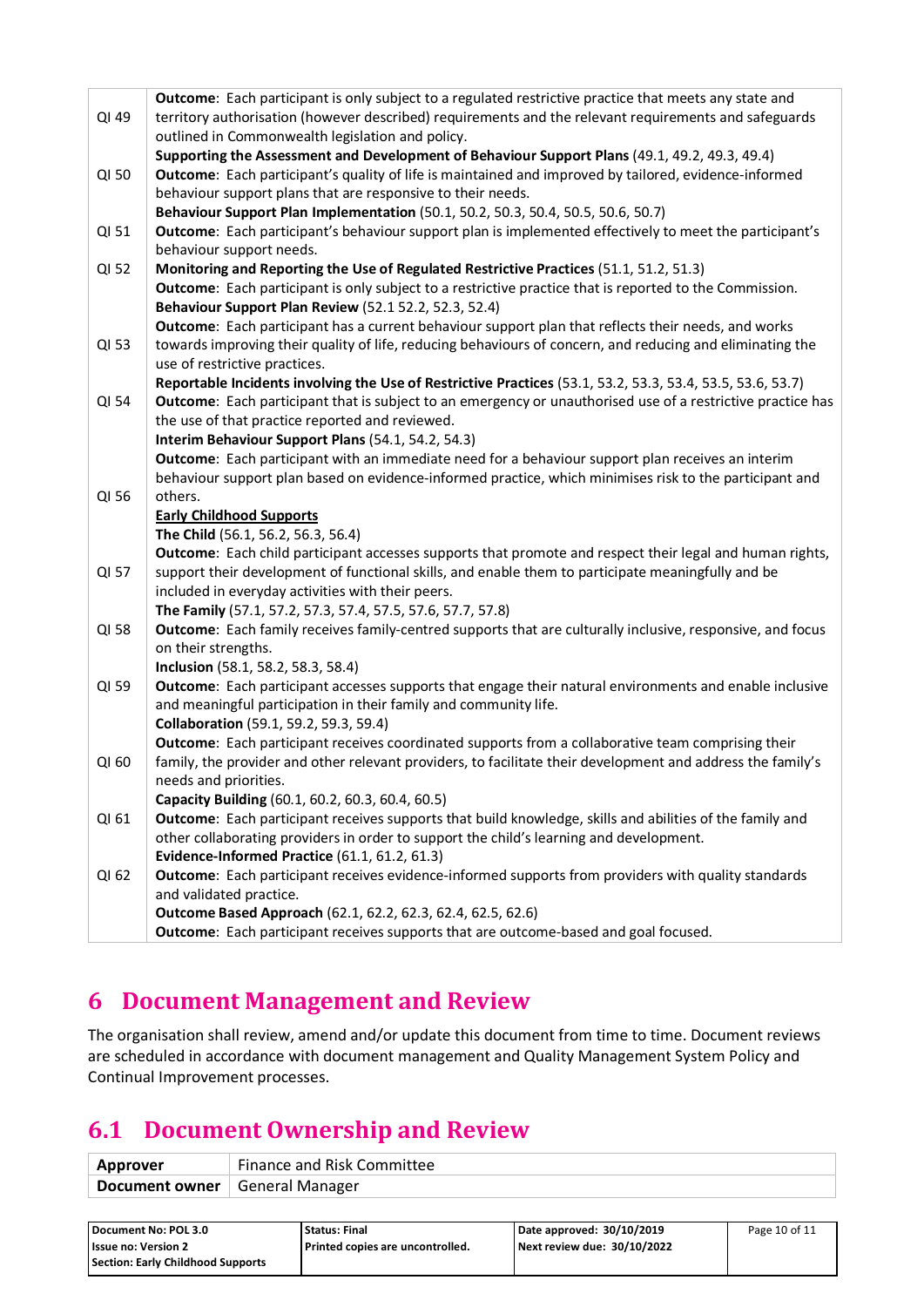|                                                                                                                | <b>Outcome:</b> Each participant is only subject to a regulated restrictive practice that meets any state and |  |  |
|----------------------------------------------------------------------------------------------------------------|---------------------------------------------------------------------------------------------------------------|--|--|
| QI 49<br>territory authorisation (however described) requirements and the relevant requirements and safeguards |                                                                                                               |  |  |
|                                                                                                                | outlined in Commonwealth legislation and policy.                                                              |  |  |
|                                                                                                                | Supporting the Assessment and Development of Behaviour Support Plans (49.1, 49.2, 49.3, 49.4)                 |  |  |
| QI 50                                                                                                          | Outcome: Each participant's quality of life is maintained and improved by tailored, evidence-informed         |  |  |
|                                                                                                                | behaviour support plans that are responsive to their needs.                                                   |  |  |
|                                                                                                                | Behaviour Support Plan Implementation (50.1, 50.2, 50.3, 50.4, 50.5, 50.6, 50.7)                              |  |  |
| QI 51                                                                                                          | Outcome: Each participant's behaviour support plan is implemented effectively to meet the participant's       |  |  |
|                                                                                                                | behaviour support needs.                                                                                      |  |  |
| QI 52                                                                                                          | Monitoring and Reporting the Use of Regulated Restrictive Practices (51.1, 51.2, 51.3)                        |  |  |
|                                                                                                                | Outcome: Each participant is only subject to a restrictive practice that is reported to the Commission.       |  |  |
|                                                                                                                | Behaviour Support Plan Review (52.1 52.2, 52.3, 52.4)                                                         |  |  |
|                                                                                                                | Outcome: Each participant has a current behaviour support plan that reflects their needs, and works           |  |  |
| QI 53                                                                                                          | towards improving their quality of life, reducing behaviours of concern, and reducing and eliminating the     |  |  |
|                                                                                                                | use of restrictive practices.                                                                                 |  |  |
|                                                                                                                | Reportable Incidents involving the Use of Restrictive Practices (53.1, 53.2, 53.3, 53.4, 53.5, 53.6, 53.7)    |  |  |
| QI 54                                                                                                          | Outcome: Each participant that is subject to an emergency or unauthorised use of a restrictive practice has   |  |  |
|                                                                                                                | the use of that practice reported and reviewed.                                                               |  |  |
|                                                                                                                | Interim Behaviour Support Plans (54.1, 54.2, 54.3)                                                            |  |  |
|                                                                                                                | Outcome: Each participant with an immediate need for a behaviour support plan receives an interim             |  |  |
|                                                                                                                | behaviour support plan based on evidence-informed practice, which minimises risk to the participant and       |  |  |
| QI 56                                                                                                          | others.                                                                                                       |  |  |
|                                                                                                                | <b>Early Childhood Supports</b>                                                                               |  |  |
|                                                                                                                | The Child (56.1, 56.2, 56.3, 56.4)                                                                            |  |  |
|                                                                                                                | Outcome: Each child participant accesses supports that promote and respect their legal and human rights,      |  |  |
| QI 57                                                                                                          | support their development of functional skills, and enable them to participate meaningfully and be            |  |  |
|                                                                                                                | included in everyday activities with their peers.                                                             |  |  |
|                                                                                                                | The Family (57.1, 57.2, 57.3, 57.4, 57.5, 57.6, 57.7, 57.8)                                                   |  |  |
| QI 58                                                                                                          | Outcome: Each family receives family-centred supports that are culturally inclusive, responsive, and focus    |  |  |
|                                                                                                                | on their strengths.                                                                                           |  |  |
|                                                                                                                | Inclusion (58.1, 58.2, 58.3, 58.4)                                                                            |  |  |
| QI 59                                                                                                          | Outcome: Each participant accesses supports that engage their natural environments and enable inclusive       |  |  |
|                                                                                                                | and meaningful participation in their family and community life.                                              |  |  |
|                                                                                                                | Collaboration (59.1, 59.2, 59.3, 59.4)                                                                        |  |  |
|                                                                                                                | Outcome: Each participant receives coordinated supports from a collaborative team comprising their            |  |  |
| QI 60                                                                                                          | family, the provider and other relevant providers, to facilitate their development and address the family's   |  |  |
|                                                                                                                | needs and priorities.                                                                                         |  |  |
|                                                                                                                | Capacity Building (60.1, 60.2, 60.3, 60.4, 60.5)                                                              |  |  |
| QI 61                                                                                                          | Outcome: Each participant receives supports that build knowledge, skills and abilities of the family and      |  |  |
|                                                                                                                | other collaborating providers in order to support the child's learning and development.                       |  |  |
|                                                                                                                | Evidence-Informed Practice (61.1, 61.2, 61.3)                                                                 |  |  |
| QI 62                                                                                                          | Outcome: Each participant receives evidence-informed supports from providers with quality standards           |  |  |
|                                                                                                                | and validated practice.                                                                                       |  |  |
|                                                                                                                | Outcome Based Approach (62.1, 62.2, 62.3, 62.4, 62.5, 62.6)                                                   |  |  |
|                                                                                                                | Outcome: Each participant receives supports that are outcome-based and goal focused.                          |  |  |

#### **6 Document Management and Review**

The organisation shall review, amend and/or update this document from time to time. Document reviews are scheduled in accordance with document management and Quality Management System Policy and Continual Improvement processes.

#### **6.1 Document Ownership and Review**

| Approver                         | Finance and Risk Committee |
|----------------------------------|----------------------------|
| Document owner   General Manager |                            |

| Document No: POL 3.0              | Status: Final                    | Date approved: 30/10/2019   | Page 10 of 11 |
|-----------------------------------|----------------------------------|-----------------------------|---------------|
| <b>Issue no: Version 2</b>        | Printed copies are uncontrolled. | Next review due: 30/10/2022 |               |
| Section: Early Childhood Supports |                                  |                             |               |